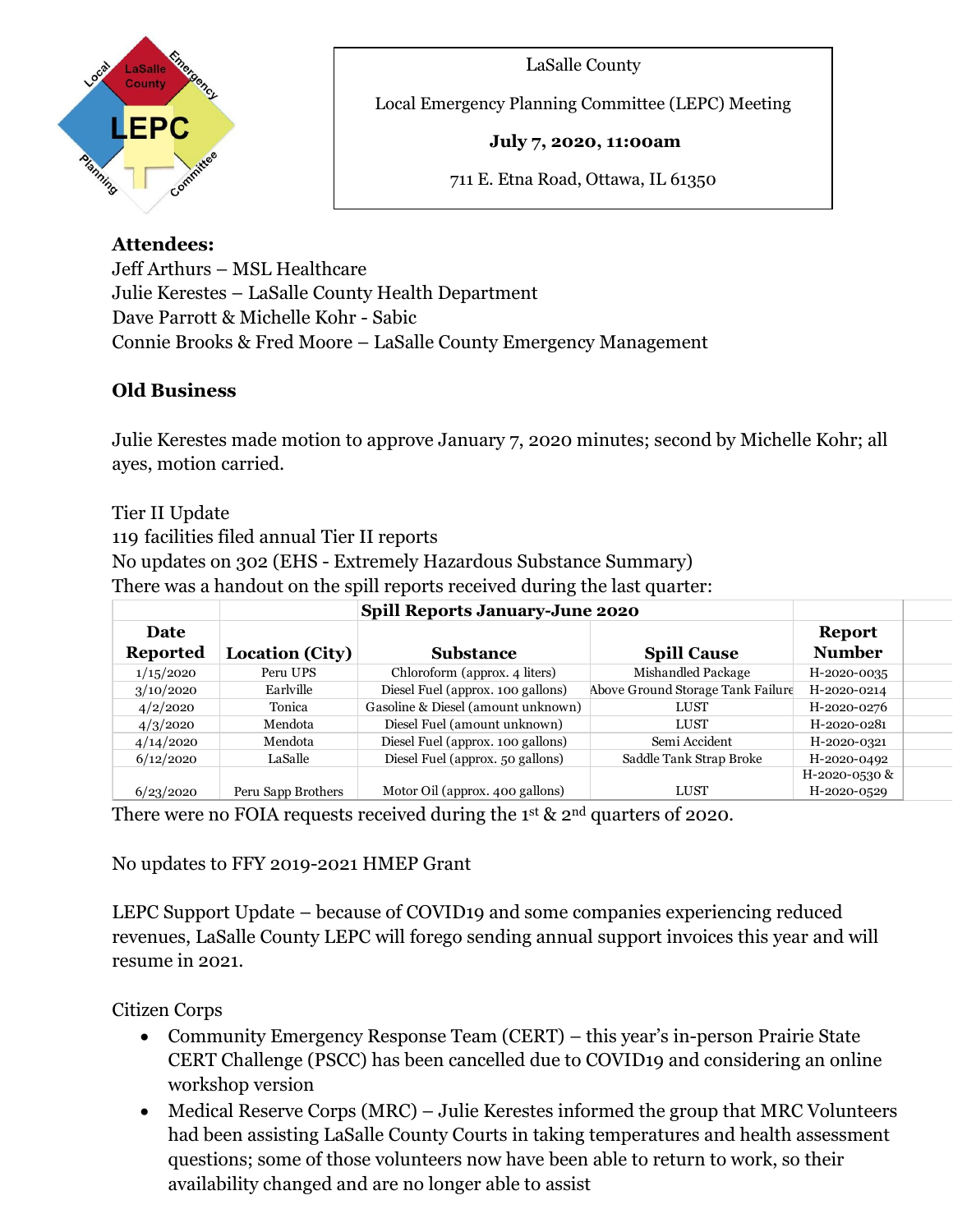

LaSalle County

Local Emergency Planning Committee (LEPC) Meeting

**July 7, 2020, 11:00am**

711 E. Etna Road, Ottawa, IL 61350

## **Attendees:**

Jeff Arthurs – MSL Healthcare Julie Kerestes – LaSalle County Health Department Dave Parrott & Michelle Kohr - Sabic Connie Brooks & Fred Moore – LaSalle County Emergency Management

 $\overline{a}$ 

## **Old Business**

Julie Kerestes made motion to approve January 7, 2020 minutes; second by Michelle Kohr; all ayes, motion carried.

Tier II Update 119 facilities filed annual Tier II reports No updates on 302 (EHS - Extremely Hazardous Substance Summary) There was a handout on the spill reports received during the last quarter:

|                         |                        | <b>Spill Reports January-June 2020</b> |                                   |                                |  |
|-------------------------|------------------------|----------------------------------------|-----------------------------------|--------------------------------|--|
| Date<br><b>Reported</b> | <b>Location (City)</b> | <b>Substance</b>                       | <b>Spill Cause</b>                | <b>Report</b><br><b>Number</b> |  |
| 1/15/2020               | Peru UPS               | Chloroform (approx. 4 liters)          | Mishandled Package                | H-2020-0035                    |  |
| 3/10/2020               | Earlville              | Diesel Fuel (approx. 100 gallons)      | Above Ground Storage Tank Failure | H-2020-0214                    |  |
| 4/2/2020                | Tonica                 | Gasoline & Diesel (amount unknown)     | <b>LUST</b>                       | H-2020-0276                    |  |
| 4/3/2020                | Mendota                | Diesel Fuel (amount unknown)           | LUST                              | H-2020-0281                    |  |
| 4/14/2020               | Mendota                | Diesel Fuel (approx. 100 gallons)      | Semi Accident                     | H-2020-0321                    |  |
| 6/12/2020               | LaSalle                | Diesel Fuel (approx. 50 gallons)       | Saddle Tank Strap Broke           | H-2020-0492                    |  |
|                         |                        |                                        |                                   | H-2020-0530 &                  |  |
| 6/23/2020               | Peru Sapp Brothers     | Motor Oil (approx. 400 gallons)        | LUST                              | H-2020-0529                    |  |

There were no FOIA requests received during the  $1<sup>st</sup>$  &  $2<sup>nd</sup>$  quarters of 2020.

No updates to FFY 2019-2021 HMEP Grant

LEPC Support Update – because of COVID19 and some companies experiencing reduced revenues, LaSalle County LEPC will forego sending annual support invoices this year and will resume in 2021.

Citizen Corps

- Community Emergency Response Team (CERT) this year's in-person Prairie State CERT Challenge (PSCC) has been cancelled due to COVID19 and considering an online workshop version
- Medical Reserve Corps (MRC) Julie Kerestes informed the group that MRC Volunteers had been assisting LaSalle County Courts in taking temperatures and health assessment questions; some of those volunteers now have been able to return to work, so their availability changed and are no longer able to assist